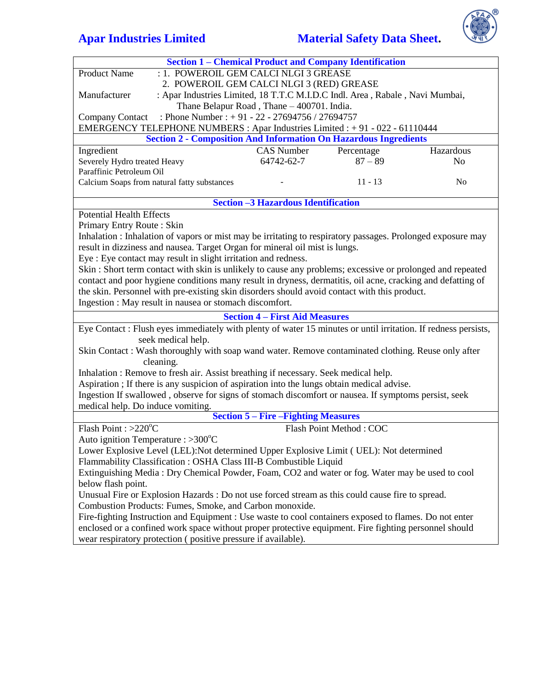# **Apar Industries Limited Material Safety Data Sheet.**



| <b>Section 1 - Chemical Product and Company Identification</b>                                                |                                            |                         |                |  |
|---------------------------------------------------------------------------------------------------------------|--------------------------------------------|-------------------------|----------------|--|
| : 1. POWEROIL GEM CALCI NLGI 3 GREASE<br><b>Product Name</b>                                                  |                                            |                         |                |  |
| 2. POWEROIL GEM CALCI NLGI 3 (RED) GREASE                                                                     |                                            |                         |                |  |
| : Apar Industries Limited, 18 T.T.C M.I.D.C Indl. Area, Rabale, Navi Mumbai,<br>Manufacturer                  |                                            |                         |                |  |
|                                                                                                               | Thane Belapur Road, Thane - 400701. India. |                         |                |  |
| : Phone Number : + 91 - 22 - 27694756 / 27694757<br><b>Company Contact</b>                                    |                                            |                         |                |  |
| EMERGENCY TELEPHONE NUMBERS : Apar Industries Limited : +91 - 022 - 61110444                                  |                                            |                         |                |  |
| <b>Section 2 - Composition And Information On Hazardous Ingredients</b>                                       |                                            |                         |                |  |
| Ingredient                                                                                                    | <b>CAS</b> Number                          | Percentage              | Hazardous      |  |
| Severely Hydro treated Heavy                                                                                  | 64742-62-7                                 | $87 - 89$               | N <sub>o</sub> |  |
| Paraffinic Petroleum Oil                                                                                      |                                            |                         |                |  |
| Calcium Soaps from natural fatty substances                                                                   |                                            | $11 - 13$               | N <sub>o</sub> |  |
|                                                                                                               |                                            |                         |                |  |
|                                                                                                               | <b>Section -3 Hazardous Identification</b> |                         |                |  |
| <b>Potential Health Effects</b>                                                                               |                                            |                         |                |  |
| Primary Entry Route: Skin                                                                                     |                                            |                         |                |  |
| Inhalation : Inhalation of vapors or mist may be irritating to respiratory passages. Prolonged exposure may   |                                            |                         |                |  |
| result in dizziness and nausea. Target Organ for mineral oil mist is lungs.                                   |                                            |                         |                |  |
| Eye: Eye contact may result in slight irritation and redness.                                                 |                                            |                         |                |  |
| Skin: Short term contact with skin is unlikely to cause any problems; excessive or prolonged and repeated     |                                            |                         |                |  |
| contact and poor hygiene conditions many result in dryness, dermatitis, oil acne, cracking and defatting of   |                                            |                         |                |  |
| the skin. Personnel with pre-existing skin disorders should avoid contact with this product.                  |                                            |                         |                |  |
| Ingestion : May result in nausea or stomach discomfort.                                                       |                                            |                         |                |  |
| <b>Section 4 – First Aid Measures</b>                                                                         |                                            |                         |                |  |
| Eye Contact: Flush eyes immediately with plenty of water 15 minutes or until irritation. If redness persists, |                                            |                         |                |  |
| seek medical help.                                                                                            |                                            |                         |                |  |
| Skin Contact : Wash thoroughly with soap wand water. Remove contaminated clothing. Reuse only after           |                                            |                         |                |  |
| cleaning.                                                                                                     |                                            |                         |                |  |
| Inhalation: Remove to fresh air. Assist breathing if necessary. Seek medical help.                            |                                            |                         |                |  |
| Aspiration ; If there is any suspicion of aspiration into the lungs obtain medical advise.                    |                                            |                         |                |  |
| Ingestion If swallowed, observe for signs of stomach discomfort or nausea. If symptoms persist, seek          |                                            |                         |                |  |
| medical help. Do induce vomiting.                                                                             |                                            |                         |                |  |
| <b>Section 5 – Fire – Fighting Measures</b>                                                                   |                                            |                         |                |  |
| Flash Point : $>220^{\circ}$ C                                                                                |                                            | Flash Point Method: COC |                |  |
| Auto ignition Temperature : >300°C                                                                            |                                            |                         |                |  |
| Lower Explosive Level (LEL): Not determined Upper Explosive Limit (UEL): Not determined                       |                                            |                         |                |  |
| Flammability Classification: OSHA Class III-B Combustible Liquid                                              |                                            |                         |                |  |
| Extinguishing Media: Dry Chemical Powder, Foam, CO2 and water or fog. Water may be used to cool               |                                            |                         |                |  |
| below flash point.                                                                                            |                                            |                         |                |  |
| Unusual Fire or Explosion Hazards : Do not use forced stream as this could cause fire to spread.              |                                            |                         |                |  |
| Combustion Products: Fumes, Smoke, and Carbon monoxide.                                                       |                                            |                         |                |  |
| Fire-fighting Instruction and Equipment : Use waste to cool containers exposed to flames. Do not enter        |                                            |                         |                |  |
| enclosed or a confined work space without proper protective equipment. Fire fighting personnel should         |                                            |                         |                |  |
| wear respiratory protection (positive pressure if available).                                                 |                                            |                         |                |  |
|                                                                                                               |                                            |                         |                |  |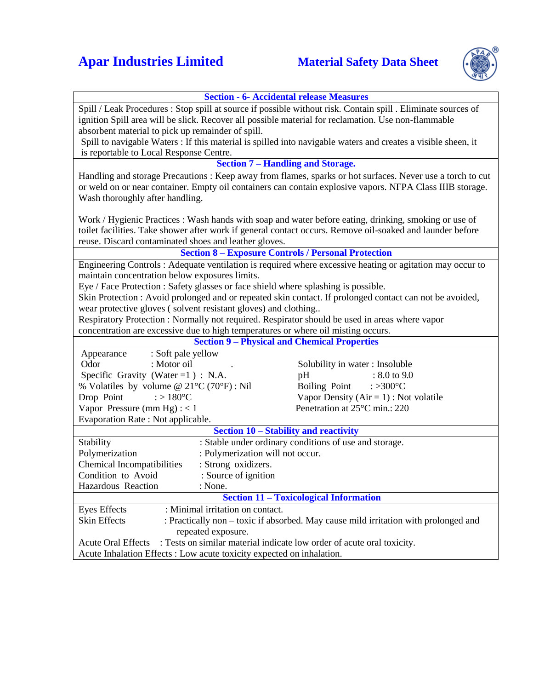# **Apar Industries Limited Material Safety Data Sheet**



### **Section - 6- Accidental release Measures**

| Spill / Leak Procedures : Stop spill at source if possible without risk. Contain spill . Eliminate sources of |                                            |  |  |
|---------------------------------------------------------------------------------------------------------------|--------------------------------------------|--|--|
| ignition Spill area will be slick. Recover all possible material for reclamation. Use non-flammable           |                                            |  |  |
| absorbent material to pick up remainder of spill.                                                             |                                            |  |  |
| Spill to navigable Waters : If this material is spilled into navigable waters and creates a visible sheen, it |                                            |  |  |
| is reportable to Local Response Centre.                                                                       |                                            |  |  |
| <b>Section 7 – Handling and Storage.</b>                                                                      |                                            |  |  |
| Handling and storage Precautions: Keep away from flames, sparks or hot surfaces. Never use a torch to cut     |                                            |  |  |
| or weld on or near container. Empty oil containers can contain explosive vapors. NFPA Class IIIB storage.     |                                            |  |  |
| Wash thoroughly after handling.                                                                               |                                            |  |  |
|                                                                                                               |                                            |  |  |
| Work / Hygienic Practices : Wash hands with soap and water before eating, drinking, smoking or use of         |                                            |  |  |
| toilet facilities. Take shower after work if general contact occurs. Remove oil-soaked and launder before     |                                            |  |  |
| reuse. Discard contaminated shoes and leather gloves.                                                         |                                            |  |  |
| <b>Section 8 - Exposure Controls / Personal Protection</b>                                                    |                                            |  |  |
| Engineering Controls: Adequate ventilation is required where excessive heating or agitation may occur to      |                                            |  |  |
| maintain concentration below exposures limits.                                                                |                                            |  |  |
| Eye / Face Protection : Safety glasses or face shield where splashing is possible.                            |                                            |  |  |
| Skin Protection : Avoid prolonged and or repeated skin contact. If prolonged contact can not be avoided,      |                                            |  |  |
| wear protective gloves (solvent resistant gloves) and clothing                                                |                                            |  |  |
| Respiratory Protection : Normally not required. Respirator should be used in areas where vapor                |                                            |  |  |
| concentration are excessive due to high temperatures or where oil misting occurs.                             |                                            |  |  |
| <b>Section 9 - Physical and Chemical Properties</b>                                                           |                                            |  |  |
| : Soft pale yellow<br>Appearance                                                                              |                                            |  |  |
| Odor<br>: Motor oil                                                                                           | Solubility in water: Insoluble             |  |  |
| Specific Gravity (Water = $1$ ) : N.A.                                                                        | $: 8.0 \text{ to } 9.0$<br>pH              |  |  |
| % Volatiles by volume @ $21^{\circ}C(70^{\circ}F)$ : Nil                                                      | Boiling Point<br>: $>300^{\circ}$ C        |  |  |
| : $>180^{\circ}$ C<br>Drop Point                                                                              | Vapor Density ( $Air = 1$ ) : Not volatile |  |  |
| Vapor Pressure (mm Hg) : $<$ 1                                                                                | Penetration at 25°C min.: 220              |  |  |
| Evaporation Rate: Not applicable.                                                                             |                                            |  |  |
| Section 10 - Stability and reactivity                                                                         |                                            |  |  |
| : Stable under ordinary conditions of use and storage.<br>Stability                                           |                                            |  |  |
| Polymerization<br>: Polymerization will not occur.                                                            |                                            |  |  |
| <b>Chemical Incompatibilities</b><br>: Strong oxidizers.                                                      |                                            |  |  |
| Condition to Avoid<br>: Source of ignition                                                                    |                                            |  |  |
| Hazardous Reaction<br>: None.                                                                                 |                                            |  |  |
| <b>Section 11 - Toxicological Information</b>                                                                 |                                            |  |  |
| : Minimal irritation on contact.<br><b>Eyes Effects</b>                                                       |                                            |  |  |
| <b>Skin Effects</b><br>: Practically non – toxic if absorbed. May cause mild irritation with prolonged and    |                                            |  |  |
| repeated exposure.                                                                                            |                                            |  |  |
| : Tests on similar material indicate low order of acute oral toxicity.<br><b>Acute Oral Effects</b>           |                                            |  |  |
| Acute Inhalation Effects : Low acute toxicity expected on inhalation.                                         |                                            |  |  |